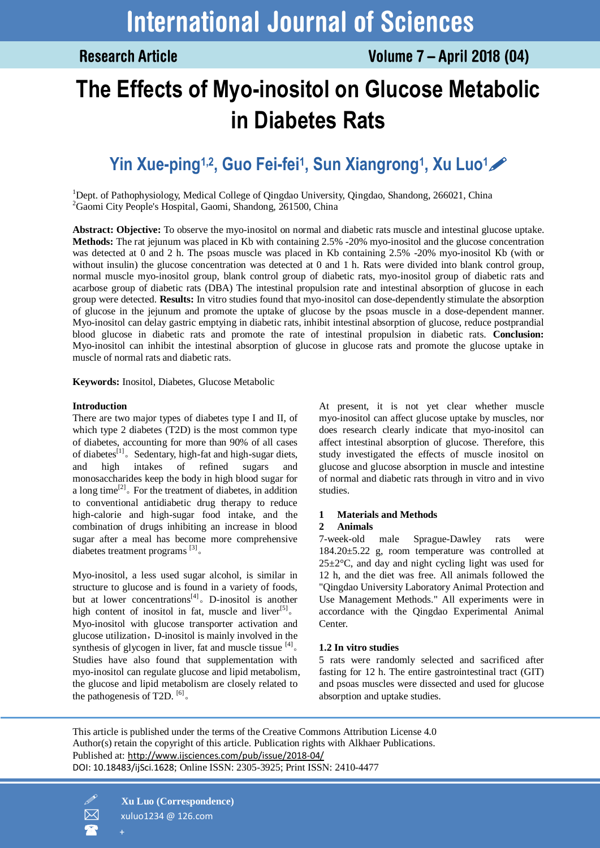# **The Effects of Myo-inositol on Glucose Metabolic in Diabetes Rats**

# **Yin Xue-ping1,2 , Guo Fei-fei<sup>1</sup> , Sun Xiangrong<sup>1</sup> , Xu Luo1**

<sup>1</sup>Dept. of Pathophysiology, Medical College of Qingdao University, Qingdao, Shandong, 266021, China <sup>2</sup>Gaomi City People's Hospital, Gaomi, Shandong, 261500, China

**Abstract: Objective:** To observe the myo-inositol on normal and diabetic rats muscle and intestinal glucose uptake. **Methods:** The rat jejunum was placed in Kb with containing 2.5% -20% myo-inositol and the glucose concentration was detected at 0 and 2 h. The psoas muscle was placed in Kb containing 2.5% -20% myo-inositol Kb (with or without insulin) the glucose concentration was detected at 0 and 1 h. Rats were divided into blank control group, normal muscle myo-inositol group, blank control group of diabetic rats, myo-inositol group of diabetic rats and acarbose group of diabetic rats (DBA) The intestinal propulsion rate and intestinal absorption of glucose in each group were detected. **Results:** In vitro studies found that myo-inositol can dose-dependently stimulate the absorption of glucose in the jejunum and promote the uptake of glucose by the psoas muscle in a dose-dependent manner. Myo-inositol can delay gastric emptying in diabetic rats, inhibit intestinal absorption of glucose, reduce postprandial blood glucose in diabetic rats and promote the rate of intestinal propulsion in diabetic rats. **Conclusion:** Myo-inositol can inhibit the intestinal absorption of glucose in glucose rats and promote the glucose uptake in muscle of normal rats and diabetic rats.

**Keywords:** Inositol, Diabetes, Glucose Metabolic

#### **Introduction**

There are two major types of diabetes type I and II, of which type 2 diabetes (T2D) is the most common type of diabetes, accounting for more than 90% of all cases of diabetes $^{[1]}$ . Sedentary, high-fat and high-sugar diets, and high intakes of refined sugars monosaccharides keep the body in high blood sugar for a long time $[2]$ . For the treatment of diabetes, in addition to conventional antidiabetic drug therapy to reduce high-calorie and high-sugar food intake, and the combination of drugs inhibiting an increase in blood sugar after a meal has become more comprehensive diabetes treatment programs [3]。

Myo-inositol, a less used sugar alcohol, is similar in structure to glucose and is found in a variety of foods, but at lower concentrations<sup>[4]</sup>. D-inositol is another high content of inositol in fat, muscle and liver $[5]$ . Myo-inositol with glucose transporter activation and glucose utilization, D-inositol is mainly involved in the synthesis of glycogen in liver, fat and muscle tissue  $^{[4]}$ . Studies have also found that supplementation with myo-inositol can regulate glucose and lipid metabolism, the glucose and lipid metabolism are closely related to the pathogenesis of T2D.  $[6]$ .

At present, it is not yet clear whether muscle myo-inositol can affect glucose uptake by muscles, nor does research clearly indicate that myo-inositol can affect intestinal absorption of glucose. Therefore, this study investigated the effects of muscle inositol on glucose and glucose absorption in muscle and intestine of normal and diabetic rats through in vitro and in vivo studies.

## **1 Materials and Methods**

#### **2 Animals**

7-week-old male Sprague-Dawley rats were 184.20±5.22 g, room temperature was controlled at  $25\pm2\degree$ C, and day and night cycling light was used for 12 h, and the diet was free. All animals followed the "Qingdao University Laboratory Animal Protection and Use Management Methods." All experiments were in accordance with the Qingdao Experimental Animal Center.

#### **1.2 In vitro studies**

5 rats were randomly selected and sacrificed after fasting for 12 h. The entire gastrointestinal tract (GIT) and psoas muscles were dissected and used for glucose absorption and uptake studies.

This article is published under the terms of the Creative Commons Attribution License 4.0 Author(s) retain the copyright of this article. Publication rights with Alkhaer Publications. Published at: http://www.ijsciences.com/pub/issue/2018-04/ DOI: 10.18483/ijSci.1628; Online ISSN: 2305-3925; Print ISSN: 2410-4477



 **Xu Luo (Correspondence)** xuluo1234 @ 126.com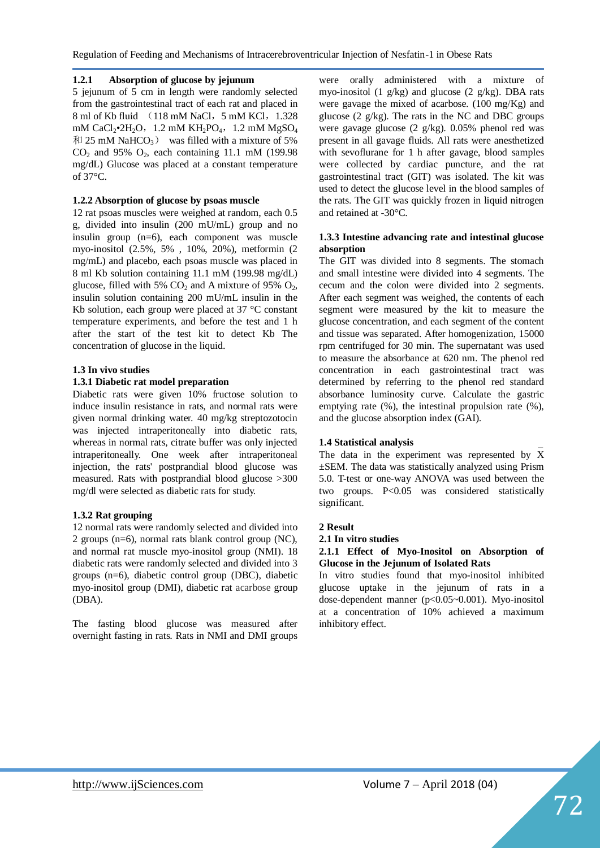# **1.2.1 Absorption of glucose by jejunum**

5 jejunum of 5 cm in length were randomly selected from the gastrointestinal tract of each rat and placed in 8 ml of Kb fluid (118 mM NaCl, 5 mM KCl, 1.328) mM CaCl<sub>2</sub>•2H<sub>2</sub>O, 1.2 mM KH<sub>2</sub>PO<sub>4</sub>, 1.2 mM MgSO<sub>4</sub>  $\overline{p}$  25 mM NaHCO<sub>3</sub>) was filled with a mixture of 5%  $CO<sub>2</sub>$  and 95%  $O<sub>2</sub>$ , each containing 11.1 mM (199.98) mg/dL) Glucose was placed at a constant temperature of 37°C.

# **1.2.2 Absorption of glucose by psoas muscle**

12 rat psoas muscles were weighed at random, each 0.5 g, divided into insulin (200 mU/mL) group and no insulin group (n=6), each component was muscle myo-inositol (2.5%, 5% , 10%, 20%), metformin (2 mg/mL) and placebo, each psoas muscle was placed in 8 ml Kb solution containing 11.1 mM (199.98 mg/dL) glucose, filled with 5%  $CO<sub>2</sub>$  and A mixture of 95%  $O<sub>2</sub>$ , insulin solution containing 200 mU/mL insulin in the Kb solution, each group were placed at 37 °C constant temperature experiments, and before the test and 1 h after the start of the test kit to detect Kb The concentration of glucose in the liquid.

## **1.3 In vivo studies**

# **1.3.1 Diabetic rat model preparation**

Diabetic rats were given 10% fructose solution to induce insulin resistance in rats, and normal rats were given normal drinking water. 40 mg/kg streptozotocin was injected intraperitoneally into diabetic rats, whereas in normal rats, citrate buffer was only injected intraperitoneally. One week after intraperitoneal injection, the rats' postprandial blood glucose was measured. Rats with postprandial blood glucose >300 mg/dl were selected as diabetic rats for study.

## **1.3.2 Rat grouping**

12 normal rats were randomly selected and divided into 2 groups (n=6), normal rats blank control group (NC), and normal rat muscle myo-inositol group (NMI). 18 diabetic rats were randomly selected and divided into 3 groups (n=6), diabetic control group (DBC), diabetic myo-inositol group (DMI), diabetic rat acarbose group (DBA).

The fasting blood glucose was measured after overnight fasting in rats. Rats in NMI and DMI groups

were orally administered with a mixture of myo-inositol (1  $g/kg$ ) and glucose (2  $g/kg$ ). DBA rats were gavage the mixed of acarbose. (100 mg/Kg) and glucose (2 g/kg). The rats in the NC and DBC groups were gavage glucose (2 g/kg). 0.05% phenol red was present in all gavage fluids. All rats were anesthetized with sevoflurane for 1 h after gavage, blood samples were collected by cardiac puncture, and the rat gastrointestinal tract (GIT) was isolated. The kit was used to detect the glucose level in the blood samples of the rats. The GIT was quickly frozen in liquid nitrogen and retained at -30°C.

## **1.3.3 Intestine advancing rate and intestinal glucose absorption**

The GIT was divided into 8 segments. The stomach and small intestine were divided into 4 segments. The cecum and the colon were divided into 2 segments. After each segment was weighed, the contents of each segment were measured by the kit to measure the glucose concentration, and each segment of the content and tissue was separated. After homogenization, 15000 rpm centrifuged for 30 min. The supernatant was used to measure the absorbance at 620 nm. The phenol red concentration in each gastrointestinal tract was determined by referring to the phenol red standard absorbance luminosity curve. Calculate the gastric emptying rate (%), the intestinal propulsion rate (%), and the glucose absorption index (GAI).

## **1.4 Statistical analysis**

The data in the experiment was represented by  $\bar{X}$ ±SEM. The data was statistically analyzed using Prism 5.0. T-test or one-way ANOVA was used between the two groups. P<0.05 was considered statistically significant.

## **2 Result**

#### **2.1 In vitro studies**

#### **2.1.1 Effect of Myo-Inositol on Absorption of Glucose in the Jejunum of Isolated Rats**

In vitro studies found that myo-inositol inhibited glucose uptake in the jejunum of rats in a dose-dependent manner (p<0.05~0.001). Myo-inositol at a concentration of 10% achieved a maximum inhibitory effect.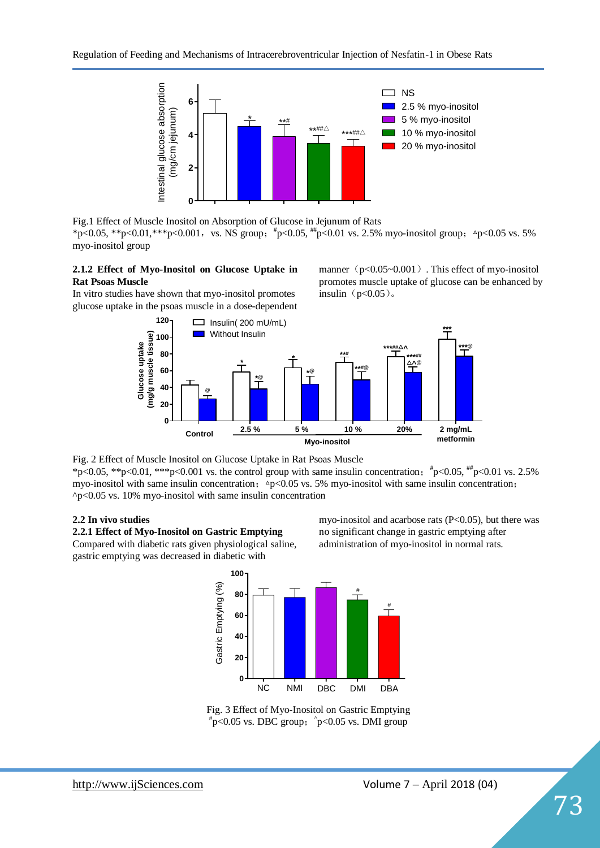

Fig.1 Effect of Muscle Inositol on Absorption of Glucose in Jejunum of Rats \*p<0.05, \*\*p<0.01, \*\*\*p<0.001, vs. NS group;  $*p<0.05$ , \*\*p<0.01 vs. 2.5% myo-inositol group;  $\Delta p$ <0.05 vs. 5% myo-inositol group

# **2.1.2 Effect of Myo-Inositol on Glucose Uptake in Rat Psoas Muscle**

In vitro studies have shown that myo-inositol promotes glucose uptake in the psoas muscle in a dose-dependent manner $(p<0.05~0.001)$  . This effect of myo-inositol promotes muscle uptake of glucose can be enhanced by insulin $(p<0.05)$ 。



Fig. 2 Effect of Muscle Inositol on Glucose Uptake in Rat Psoas Muscle \*p<0.05, \*\*p<0.01, \*\*\*p<0.001 vs. the control group with same insulin concentration;  $\frac{4}{7}$ p<0.05,  $\frac{4}{7}$ p<0.01 vs. 2.5% myo-inositol with same insulin concentration;  $\Delta p < 0.05$  vs. 5% myo-inositol with same insulin concentration;  $\gamma$ p<0.05 vs. 10% myo-inositol with same insulin concentration

## **2.2 In vivo studies**

**2.2.1 Effect of Myo-Inositol on Gastric Emptying** Compared with diabetic rats given physiological saline, gastric emptying was decreased in diabetic with

myo-inositol and acarbose rats  $(P<0.05)$ , but there was no significant change in gastric emptying after administration of myo-inositol in normal rats.



Fig. 3 Effect of Myo-Inositol on Gastric Emptying  $p^*$ p<0.05 vs. DBC group;  $\rho$ <0.05 vs. DMI group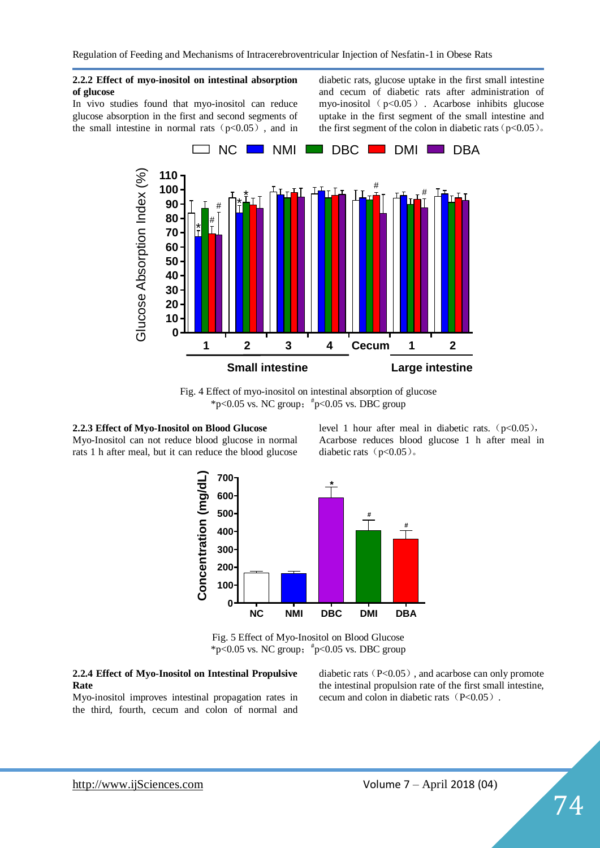Regulation of Feeding and Mechanisms of Intracerebroventricular Injection of Nesfatin-1 in Obese Rats

#### **2.2.2 Effect of myo-inositol on intestinal absorption of glucose**

In vivo studies found that myo-inositol can reduce glucose absorption in the first and second segments of the small intestine in normal rats  $(p<0.05)$ , and in

diabetic rats, glucose uptake in the first small intestine and cecum of diabetic rats after administration of myo-inositol ( $p<0.05$ ). Acarbose inhibits glucose uptake in the first segment of the small intestine and the first segment of the colon in diabetic rats ( $p<0.05$ ).



Fig. 4 Effect of myo-inositol on intestinal absorption of glucose \*p<0.05 vs. NC group;  $\frac{4}{5}$ p<0.05 vs. DBC group

# **2.2.3 Effect of Myo-Inositol on Blood Glucose**

Myo-Inositol can not reduce blood glucose in normal rats 1 h after meal, but it can reduce the blood glucose level 1 hour after meal in diabetic rats.  $(p<0.05)$ , Acarbose reduces blood glucose 1 h after meal in diabetic rats  $(p<0.05)$ .



Fig. 5 Effect of Myo-Inositol on Blood Glucose \*p<0.05 vs. NC group;  $*$ p<0.05 vs. DBC group

#### **2.2.4 Effect of Myo-Inositol on Intestinal Propulsive Rate**

Myo-inositol improves intestinal propagation rates in the third, fourth, cecum and colon of normal and

diabetic rats  $(P<0.05)$ , and acarbose can only promote the intestinal propulsion rate of the first small intestine, cecum and colon in diabetic rats(P<0.05).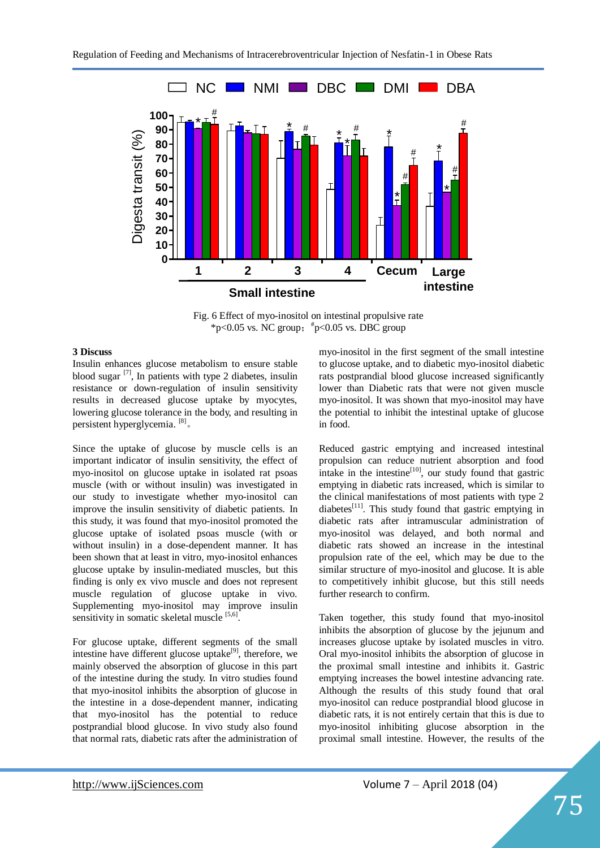

Fig. 6 Effect of myo-inositol on intestinal propulsive rate \*p<0.05 vs. NC group;  $*$ p<0.05 vs. DBC group

#### **3 Discuss**

Insulin enhances glucose metabolism to ensure stable blood sugar  $[7]$ , In patients with type 2 diabetes, insulin resistance or down-regulation of insulin sensitivity results in decreased glucose uptake by myocytes, lowering glucose tolerance in the body, and resulting in persistent hyperglycemia. [8]。

Since the uptake of glucose by muscle cells is an important indicator of insulin sensitivity, the effect of myo-inositol on glucose uptake in isolated rat psoas muscle (with or without insulin) was investigated in our study to investigate whether myo-inositol can improve the insulin sensitivity of diabetic patients. In this study, it was found that myo-inositol promoted the glucose uptake of isolated psoas muscle (with or without insulin) in a dose-dependent manner. It has been shown that at least in vitro, myo-inositol enhances glucose uptake by insulin-mediated muscles, but this finding is only ex vivo muscle and does not represent muscle regulation of glucose uptake in vivo. Supplementing myo-inositol may improve insulin sensitivity in somatic skeletal muscle [5,6].

For glucose uptake, different segments of the small intestine have different glucose uptake $[9]$ , therefore, we mainly observed the absorption of glucose in this part of the intestine during the study. In vitro studies found that myo-inositol inhibits the absorption of glucose in the intestine in a dose-dependent manner, indicating that myo-inositol has the potential to reduce postprandial blood glucose. In vivo study also found that normal rats, diabetic rats after the administration of

myo-inositol in the first segment of the small intestine to glucose uptake, and to diabetic myo-inositol diabetic rats postprandial blood glucose increased significantly lower than Diabetic rats that were not given muscle myo-inositol. It was shown that myo-inositol may have the potential to inhibit the intestinal uptake of glucose in food.

Reduced gastric emptying and increased intestinal propulsion can reduce nutrient absorption and food intake in the intestine<sup>[10]</sup>, our study found that gastric emptying in diabetic rats increased, which is similar to the clinical manifestations of most patients with type 2 diabetes $^{[11]}$ . This study found that gastric emptying in diabetic rats after intramuscular administration of myo-inositol was delayed, and both normal and diabetic rats showed an increase in the intestinal propulsion rate of the eel, which may be due to the similar structure of myo-inositol and glucose. It is able to competitively inhibit glucose, but this still needs further research to confirm.

Taken together, this study found that myo-inositol inhibits the absorption of glucose by the jejunum and increases glucose uptake by isolated muscles in vitro. Oral myo-inositol inhibits the absorption of glucose in the proximal small intestine and inhibits it. Gastric emptying increases the bowel intestine advancing rate. Although the results of this study found that oral myo-inositol can reduce postprandial blood glucose in diabetic rats, it is not entirely certain that this is due to myo-inositol inhibiting glucose absorption in the proximal small intestine. However, the results of the